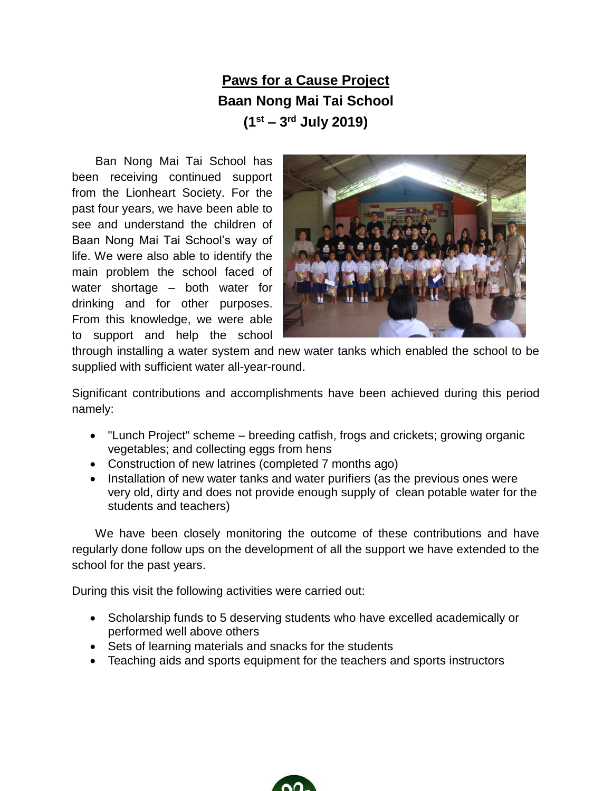## **Paws for a Cause Project Baan Nong Mai Tai School (1 st – 3 rd July 2019)**

Ban Nong Mai Tai School has been receiving continued support from the Lionheart Society. For the past four years, we have been able to see and understand the children of Baan Nong Mai Tai School's way of life. We were also able to identify the main problem the school faced of water shortage – both water for drinking and for other purposes. From this knowledge, we were able to support and help the school



through installing a water system and new water tanks which enabled the school to be supplied with sufficient water all-year-round.

Significant contributions and accomplishments have been achieved during this period namely:

- "Lunch Project" scheme breeding catfish, frogs and crickets; growing organic vegetables; and collecting eggs from hens
- Construction of new latrines (completed 7 months ago)
- Installation of new water tanks and water purifiers (as the previous ones were very old, dirty and does not provide enough supply of clean potable water for the students and teachers)

 We have been closely monitoring the outcome of these contributions and have regularly done follow ups on the development of all the support we have extended to the school for the past years.

During this visit the following activities were carried out:

- Scholarship funds to 5 deserving students who have excelled academically or performed well above others
- Sets of learning materials and snacks for the students
- Teaching aids and sports equipment for the teachers and sports instructors